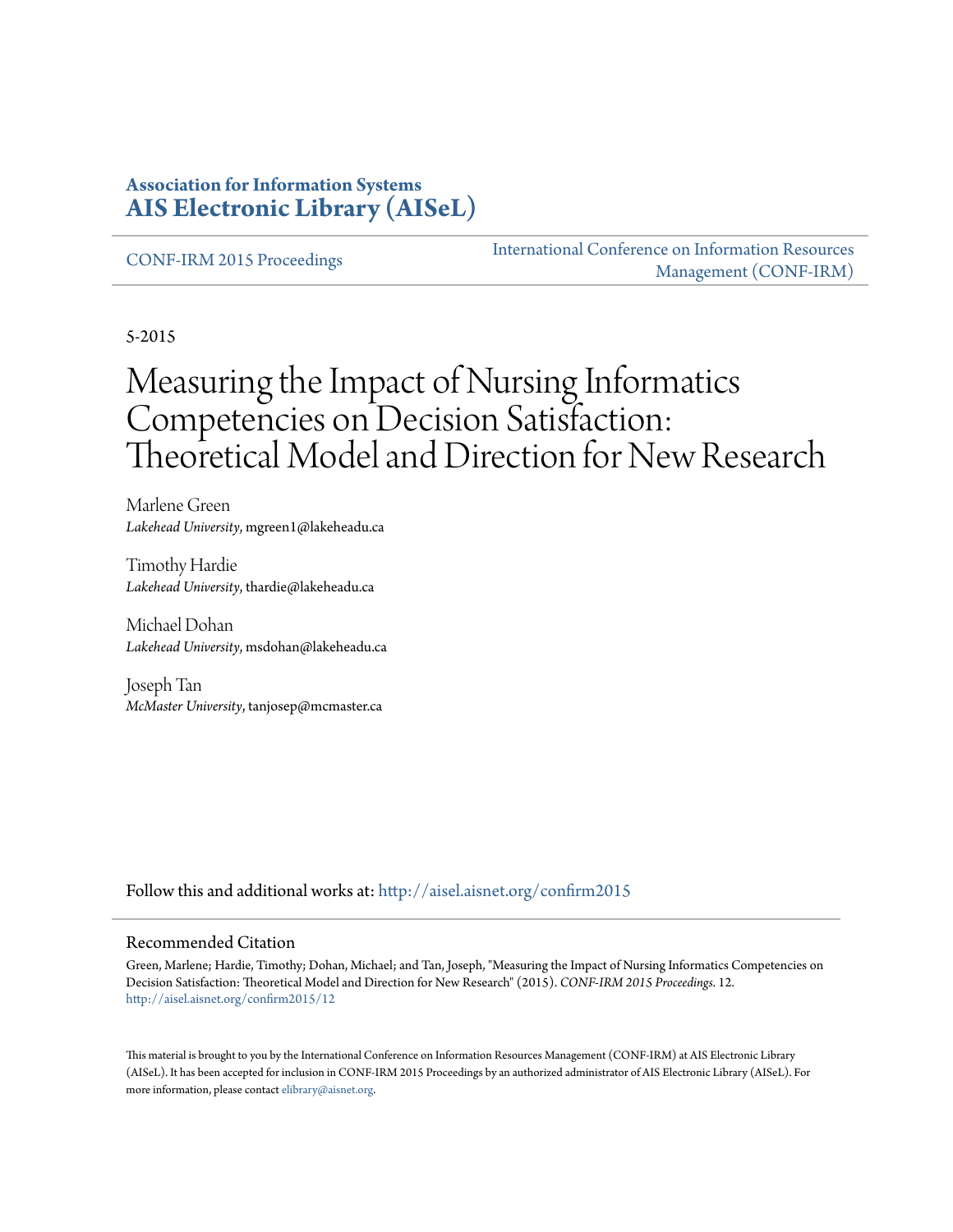#### **Association for Information Systems [AIS Electronic Library \(AISeL\)](http://aisel.aisnet.org?utm_source=aisel.aisnet.org%2Fconfirm2015%2F12&utm_medium=PDF&utm_campaign=PDFCoverPages)**

[CONF-IRM 2015 Proceedings](http://aisel.aisnet.org/confirm2015?utm_source=aisel.aisnet.org%2Fconfirm2015%2F12&utm_medium=PDF&utm_campaign=PDFCoverPages)

[International Conference on Information Resources](http://aisel.aisnet.org/conf-irm?utm_source=aisel.aisnet.org%2Fconfirm2015%2F12&utm_medium=PDF&utm_campaign=PDFCoverPages) [Management \(CONF-IRM\)](http://aisel.aisnet.org/conf-irm?utm_source=aisel.aisnet.org%2Fconfirm2015%2F12&utm_medium=PDF&utm_campaign=PDFCoverPages)

5-2015

# Measuring the Impact of Nursing Informatics Competencies on Decision Satisfaction: Theoretical Model and Direction for New Research

Marlene Green *Lakehead University*, mgreen1@lakeheadu.ca

Timothy Hardie *Lakehead University*, thardie@lakeheadu.ca

Michael Dohan *Lakehead University*, msdohan@lakeheadu.ca

Joseph Tan *McMaster University*, tanjosep@mcmaster.ca

Follow this and additional works at: [http://aisel.aisnet.org/confirm2015](http://aisel.aisnet.org/confirm2015?utm_source=aisel.aisnet.org%2Fconfirm2015%2F12&utm_medium=PDF&utm_campaign=PDFCoverPages)

#### Recommended Citation

Green, Marlene; Hardie, Timothy; Dohan, Michael; and Tan, Joseph, "Measuring the Impact of Nursing Informatics Competencies on Decision Satisfaction: Theoretical Model and Direction for New Research" (2015). *CONF-IRM 2015 Proceedings*. 12. [http://aisel.aisnet.org/confirm2015/12](http://aisel.aisnet.org/confirm2015/12?utm_source=aisel.aisnet.org%2Fconfirm2015%2F12&utm_medium=PDF&utm_campaign=PDFCoverPages)

This material is brought to you by the International Conference on Information Resources Management (CONF-IRM) at AIS Electronic Library (AISeL). It has been accepted for inclusion in CONF-IRM 2015 Proceedings by an authorized administrator of AIS Electronic Library (AISeL). For more information, please contact [elibrary@aisnet.org.](mailto:elibrary@aisnet.org%3E)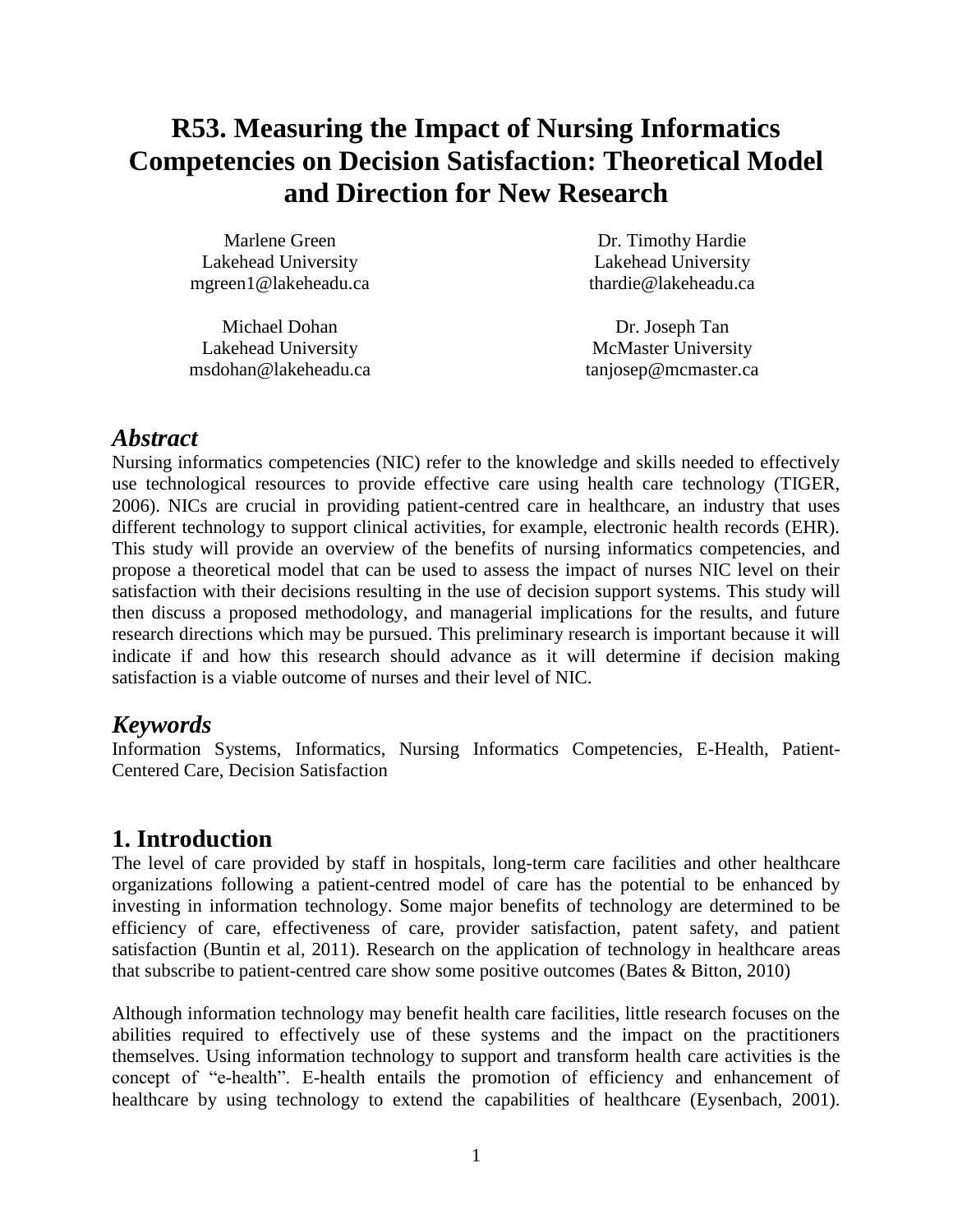## **R53. Measuring the Impact of Nursing Informatics Competencies on Decision Satisfaction: Theoretical Model and Direction for New Research**

| Marlene Green        | Dr.   |
|----------------------|-------|
| Lakehead University  | Lak   |
| mgreen1@lakeheadu.ca | thard |

Michael Dohan Lakehead University msdohan@lakeheadu.ca

Timothy Hardie ehead University die@lakeheadu.ca

Dr. Joseph Tan McMaster University tanjosep@mcmaster.ca

## *Abstract*

Nursing informatics competencies (NIC) refer to the knowledge and skills needed to effectively use technological resources to provide effective care using health care technology (TIGER, 2006). NICs are crucial in providing patient-centred care in healthcare, an industry that uses different technology to support clinical activities, for example, electronic health records (EHR). This study will provide an overview of the benefits of nursing informatics competencies, and propose a theoretical model that can be used to assess the impact of nurses NIC level on their satisfaction with their decisions resulting in the use of decision support systems. This study will then discuss a proposed methodology, and managerial implications for the results, and future research directions which may be pursued. This preliminary research is important because it will indicate if and how this research should advance as it will determine if decision making satisfaction is a viable outcome of nurses and their level of NIC.

## *Keywords*

Information Systems, Informatics, Nursing Informatics Competencies, E-Health, Patient-Centered Care, Decision Satisfaction

## **1. Introduction**

The level of care provided by staff in hospitals, long-term care facilities and other healthcare organizations following a patient-centred model of care has the potential to be enhanced by investing in information technology. Some major benefits of technology are determined to be efficiency of care, effectiveness of care, provider satisfaction, patent safety, and patient satisfaction (Buntin et al, 2011). Research on the application of technology in healthcare areas that subscribe to patient-centred care show some positive outcomes (Bates & Bitton, 2010)

Although information technology may benefit health care facilities, little research focuses on the abilities required to effectively use of these systems and the impact on the practitioners themselves. Using information technology to support and transform health care activities is the concept of "e-health". E-health entails the promotion of efficiency and enhancement of healthcare by using technology to extend the capabilities of healthcare (Eysenbach, 2001).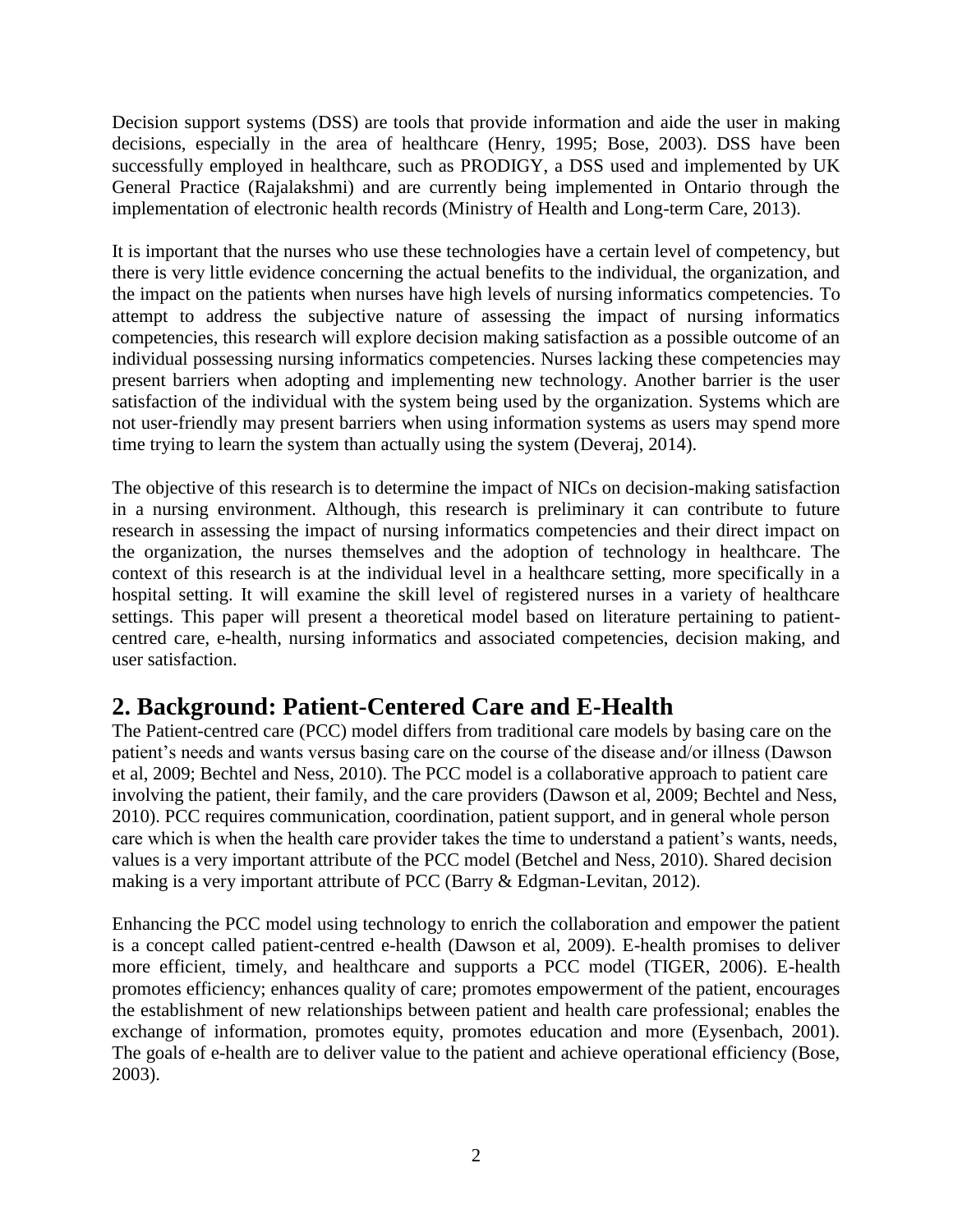Decision support systems (DSS) are tools that provide information and aide the user in making decisions, especially in the area of healthcare (Henry, 1995; Bose, 2003). DSS have been successfully employed in healthcare, such as PRODIGY, a DSS used and implemented by UK General Practice (Rajalakshmi) and are currently being implemented in Ontario through the implementation of electronic health records (Ministry of Health and Long-term Care, 2013).

It is important that the nurses who use these technologies have a certain level of competency, but there is very little evidence concerning the actual benefits to the individual, the organization, and the impact on the patients when nurses have high levels of nursing informatics competencies. To attempt to address the subjective nature of assessing the impact of nursing informatics competencies, this research will explore decision making satisfaction as a possible outcome of an individual possessing nursing informatics competencies. Nurses lacking these competencies may present barriers when adopting and implementing new technology. Another barrier is the user satisfaction of the individual with the system being used by the organization. Systems which are not user-friendly may present barriers when using information systems as users may spend more time trying to learn the system than actually using the system (Deveraj, 2014).

The objective of this research is to determine the impact of NICs on decision-making satisfaction in a nursing environment. Although, this research is preliminary it can contribute to future research in assessing the impact of nursing informatics competencies and their direct impact on the organization, the nurses themselves and the adoption of technology in healthcare. The context of this research is at the individual level in a healthcare setting, more specifically in a hospital setting. It will examine the skill level of registered nurses in a variety of healthcare settings. This paper will present a theoretical model based on literature pertaining to patientcentred care, e-health, nursing informatics and associated competencies, decision making, and user satisfaction.

## **2. Background: Patient-Centered Care and E-Health**

The Patient-centred care (PCC) model differs from traditional care models by basing care on the patient's needs and wants versus basing care on the course of the disease and/or illness (Dawson et al, 2009; Bechtel and Ness, 2010). The PCC model is a collaborative approach to patient care involving the patient, their family, and the care providers (Dawson et al, 2009; Bechtel and Ness, 2010). PCC requires communication, coordination, patient support, and in general whole person care which is when the health care provider takes the time to understand a patient's wants, needs, values is a very important attribute of the PCC model (Betchel and Ness, 2010). Shared decision making is a very important attribute of PCC (Barry & Edgman-Levitan, 2012).

Enhancing the PCC model using technology to enrich the collaboration and empower the patient is a concept called patient-centred e-health (Dawson et al, 2009). E-health promises to deliver more efficient, timely, and healthcare and supports a PCC model (TIGER, 2006). E-health promotes efficiency; enhances quality of care; promotes empowerment of the patient, encourages the establishment of new relationships between patient and health care professional; enables the exchange of information, promotes equity, promotes education and more (Eysenbach, 2001). The goals of e-health are to deliver value to the patient and achieve operational efficiency (Bose, 2003).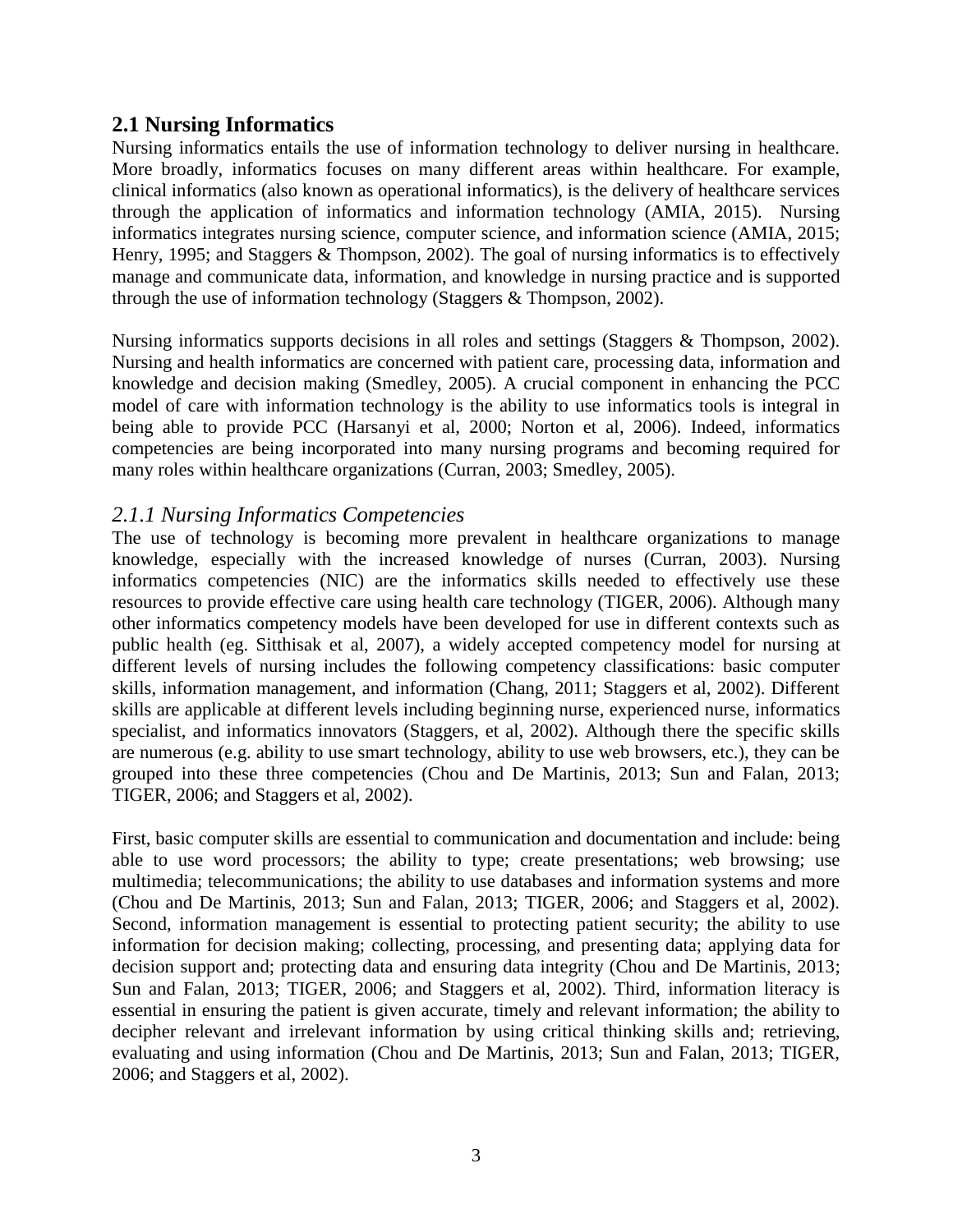#### **2.1 Nursing Informatics**

Nursing informatics entails the use of information technology to deliver nursing in healthcare. More broadly, informatics focuses on many different areas within healthcare. For example, clinical informatics (also known as operational informatics), is the delivery of healthcare services through the application of informatics and information technology (AMIA, 2015). Nursing informatics integrates nursing science, computer science, and information science (AMIA, 2015; Henry, 1995; and Staggers & Thompson, 2002). The goal of nursing informatics is to effectively manage and communicate data, information, and knowledge in nursing practice and is supported through the use of information technology (Staggers & Thompson, 2002).

Nursing informatics supports decisions in all roles and settings (Staggers & Thompson, 2002). Nursing and health informatics are concerned with patient care, processing data, information and knowledge and decision making (Smedley, 2005). A crucial component in enhancing the PCC model of care with information technology is the ability to use informatics tools is integral in being able to provide PCC (Harsanyi et al, 2000; Norton et al, 2006). Indeed, informatics competencies are being incorporated into many nursing programs and becoming required for many roles within healthcare organizations (Curran, 2003; Smedley, 2005).

#### *2.1.1 Nursing Informatics Competencies*

The use of technology is becoming more prevalent in healthcare organizations to manage knowledge, especially with the increased knowledge of nurses (Curran, 2003). Nursing informatics competencies (NIC) are the informatics skills needed to effectively use these resources to provide effective care using health care technology (TIGER, 2006). Although many other informatics competency models have been developed for use in different contexts such as public health (eg. Sitthisak et al, 2007), a widely accepted competency model for nursing at different levels of nursing includes the following competency classifications: basic computer skills, information management, and information (Chang, 2011; Staggers et al, 2002). Different skills are applicable at different levels including beginning nurse, experienced nurse, informatics specialist, and informatics innovators (Staggers, et al, 2002). Although there the specific skills are numerous (e.g. ability to use smart technology, ability to use web browsers, etc.), they can be grouped into these three competencies (Chou and De Martinis, 2013; Sun and Falan, 2013; TIGER, 2006; and Staggers et al, 2002).

First, basic computer skills are essential to communication and documentation and include: being able to use word processors; the ability to type; create presentations; web browsing; use multimedia; telecommunications; the ability to use databases and information systems and more (Chou and De Martinis, 2013; Sun and Falan, 2013; TIGER, 2006; and Staggers et al, 2002). Second, information management is essential to protecting patient security; the ability to use information for decision making; collecting, processing, and presenting data; applying data for decision support and; protecting data and ensuring data integrity (Chou and De Martinis, 2013; Sun and Falan, 2013; TIGER, 2006; and Staggers et al, 2002). Third, information literacy is essential in ensuring the patient is given accurate, timely and relevant information; the ability to decipher relevant and irrelevant information by using critical thinking skills and; retrieving, evaluating and using information (Chou and De Martinis, 2013; Sun and Falan, 2013; TIGER, 2006; and Staggers et al, 2002).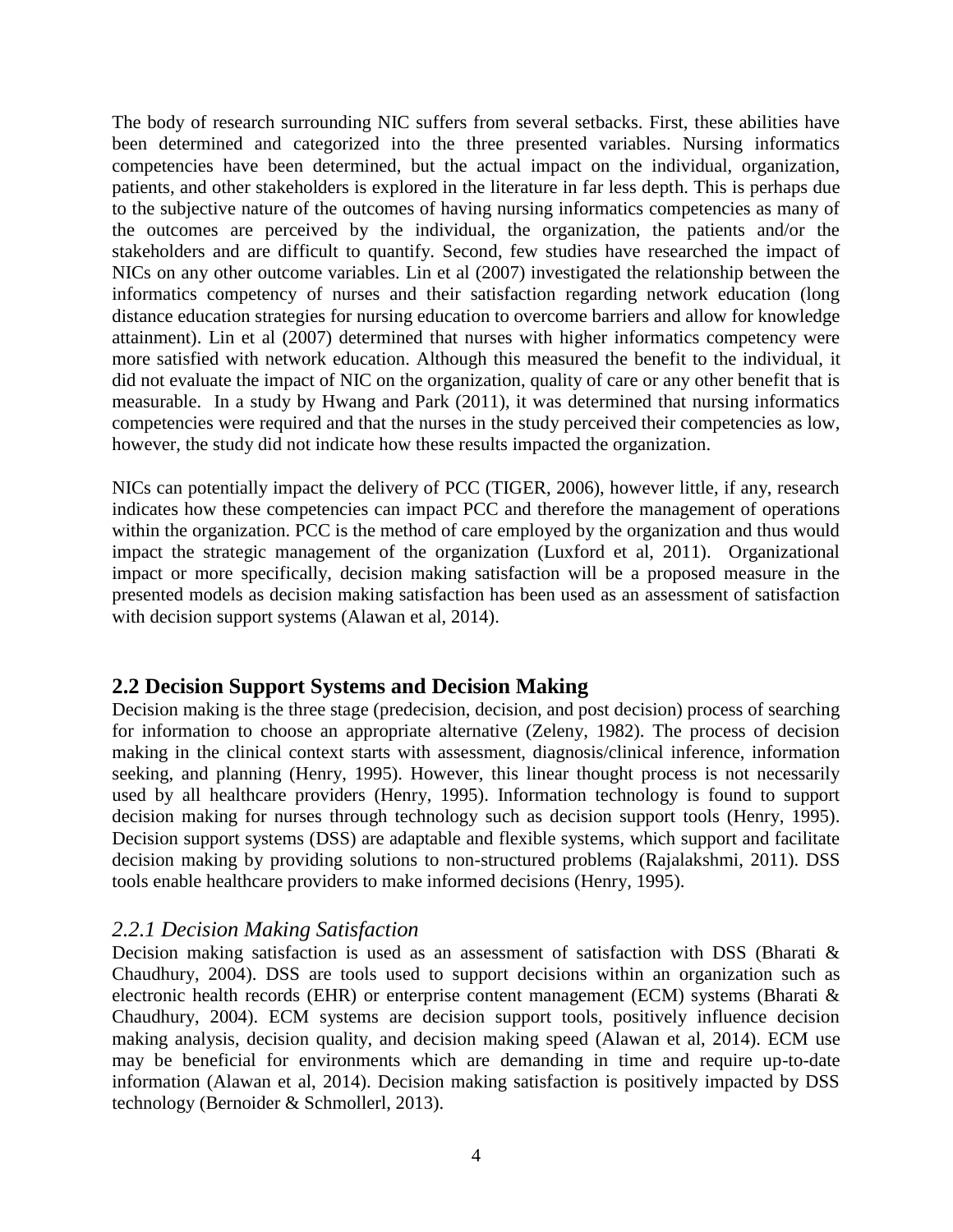The body of research surrounding NIC suffers from several setbacks. First, these abilities have been determined and categorized into the three presented variables. Nursing informatics competencies have been determined, but the actual impact on the individual, organization, patients, and other stakeholders is explored in the literature in far less depth. This is perhaps due to the subjective nature of the outcomes of having nursing informatics competencies as many of the outcomes are perceived by the individual, the organization, the patients and/or the stakeholders and are difficult to quantify. Second, few studies have researched the impact of NICs on any other outcome variables. Lin et al (2007) investigated the relationship between the informatics competency of nurses and their satisfaction regarding network education (long distance education strategies for nursing education to overcome barriers and allow for knowledge attainment). Lin et al (2007) determined that nurses with higher informatics competency were more satisfied with network education. Although this measured the benefit to the individual, it did not evaluate the impact of NIC on the organization, quality of care or any other benefit that is measurable. In a study by Hwang and Park (2011), it was determined that nursing informatics competencies were required and that the nurses in the study perceived their competencies as low, however, the study did not indicate how these results impacted the organization.

NICs can potentially impact the delivery of PCC (TIGER, 2006), however little, if any, research indicates how these competencies can impact PCC and therefore the management of operations within the organization. PCC is the method of care employed by the organization and thus would impact the strategic management of the organization (Luxford et al, 2011). Organizational impact or more specifically, decision making satisfaction will be a proposed measure in the presented models as decision making satisfaction has been used as an assessment of satisfaction with decision support systems (Alawan et al, 2014).

#### **2.2 Decision Support Systems and Decision Making**

Decision making is the three stage (predecision, decision, and post decision) process of searching for information to choose an appropriate alternative (Zeleny, 1982). The process of decision making in the clinical context starts with assessment, diagnosis/clinical inference, information seeking, and planning (Henry, 1995). However, this linear thought process is not necessarily used by all healthcare providers (Henry, 1995). Information technology is found to support decision making for nurses through technology such as decision support tools (Henry, 1995). Decision support systems (DSS) are adaptable and flexible systems, which support and facilitate decision making by providing solutions to non-structured problems (Rajalakshmi, 2011). DSS tools enable healthcare providers to make informed decisions (Henry, 1995).

#### *2.2.1 Decision Making Satisfaction*

Decision making satisfaction is used as an assessment of satisfaction with DSS (Bharati & Chaudhury, 2004). DSS are tools used to support decisions within an organization such as electronic health records (EHR) or enterprise content management (ECM) systems (Bharati & Chaudhury, 2004). ECM systems are decision support tools, positively influence decision making analysis, decision quality, and decision making speed (Alawan et al, 2014). ECM use may be beneficial for environments which are demanding in time and require up-to-date information (Alawan et al, 2014). Decision making satisfaction is positively impacted by DSS technology (Bernoider & Schmollerl, 2013).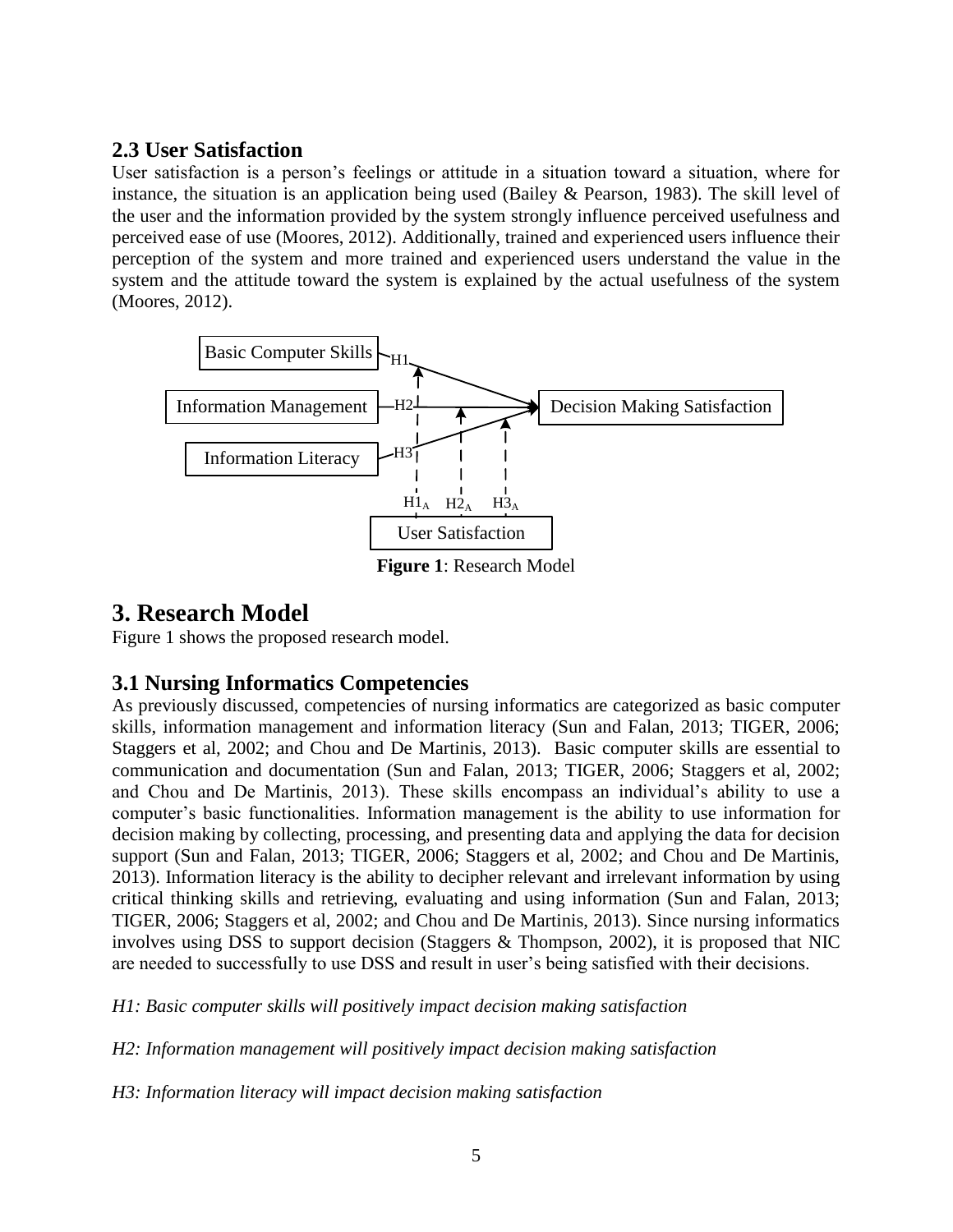#### **2.3 User Satisfaction**

User satisfaction is a person's feelings or attitude in a situation toward a situation, where for instance, the situation is an application being used (Bailey  $\&$  Pearson, 1983). The skill level of the user and the information provided by the system strongly influence perceived usefulness and perceived ease of use (Moores, 2012). Additionally, trained and experienced users influence their perception of the system and more trained and experienced users understand the value in the system and the attitude toward the system is explained by the actual usefulness of the system (Moores, 2012).



**Figure 1**: Research Model

## **3. Research Model**

Figure 1 shows the proposed research model.

## **3.1 Nursing Informatics Competencies**

As previously discussed, competencies of nursing informatics are categorized as basic computer skills, information management and information literacy (Sun and Falan, 2013; TIGER, 2006; Staggers et al, 2002; and Chou and De Martinis, 2013). Basic computer skills are essential to communication and documentation (Sun and Falan, 2013; TIGER, 2006; Staggers et al, 2002; and Chou and De Martinis, 2013). These skills encompass an individual's ability to use a computer's basic functionalities. Information management is the ability to use information for decision making by collecting, processing, and presenting data and applying the data for decision support (Sun and Falan, 2013; TIGER, 2006; Staggers et al, 2002; and Chou and De Martinis, 2013). Information literacy is the ability to decipher relevant and irrelevant information by using critical thinking skills and retrieving, evaluating and using information (Sun and Falan, 2013; TIGER, 2006; Staggers et al, 2002; and Chou and De Martinis, 2013). Since nursing informatics involves using DSS to support decision (Staggers & Thompson, 2002), it is proposed that NIC are needed to successfully to use DSS and result in user's being satisfied with their decisions.

*H1: Basic computer skills will positively impact decision making satisfaction*

*H2: Information management will positively impact decision making satisfaction*

*H3: Information literacy will impact decision making satisfaction*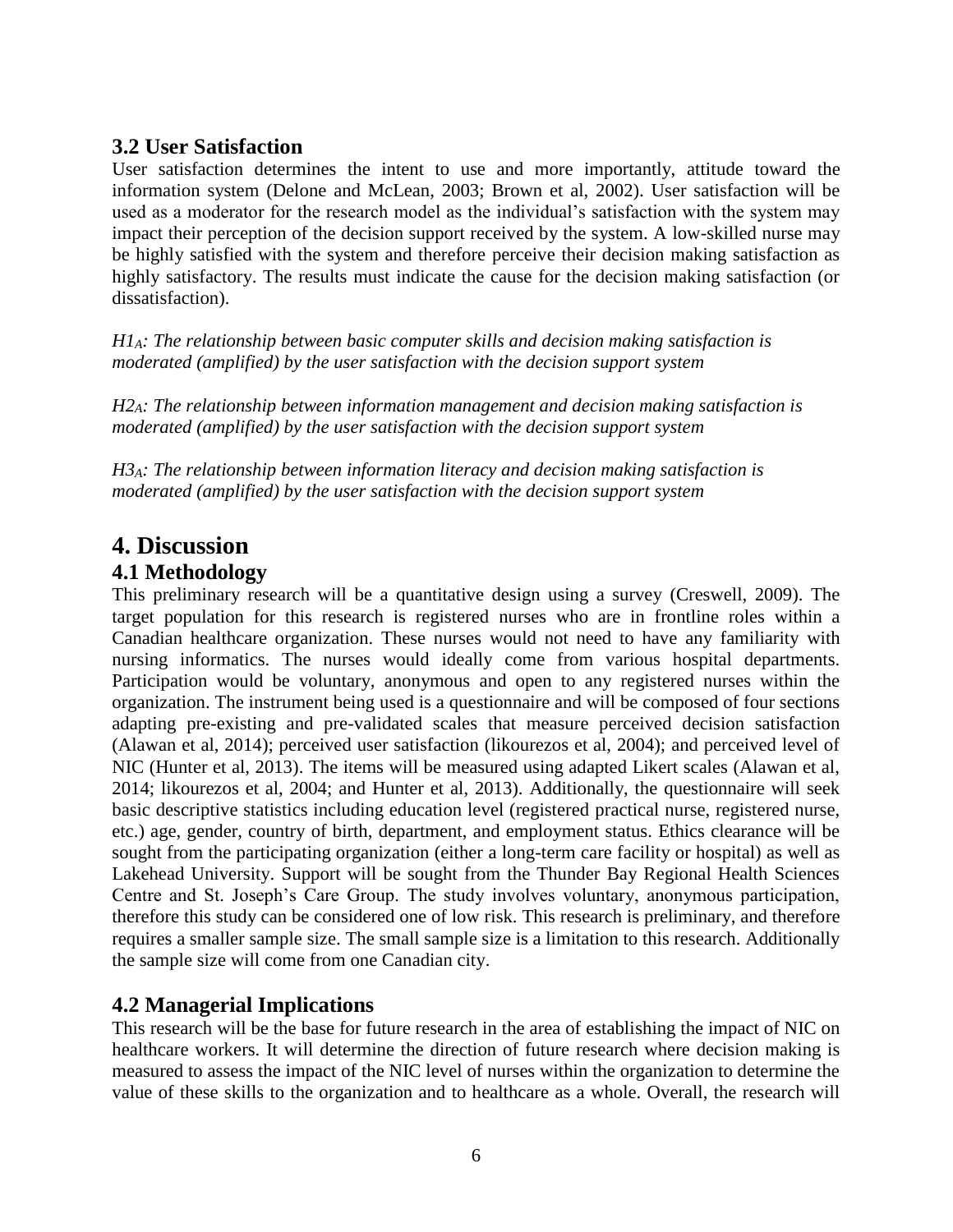#### **3.2 User Satisfaction**

User satisfaction determines the intent to use and more importantly, attitude toward the information system (Delone and McLean, 2003; Brown et al, 2002). User satisfaction will be used as a moderator for the research model as the individual's satisfaction with the system may impact their perception of the decision support received by the system. A low-skilled nurse may be highly satisfied with the system and therefore perceive their decision making satisfaction as highly satisfactory. The results must indicate the cause for the decision making satisfaction (or dissatisfaction).

*H1A: The relationship between basic computer skills and decision making satisfaction is moderated (amplified) by the user satisfaction with the decision support system*

*H2A: The relationship between information management and decision making satisfaction is moderated (amplified) by the user satisfaction with the decision support system*

*H3A: The relationship between information literacy and decision making satisfaction is moderated (amplified) by the user satisfaction with the decision support system*

## **4. Discussion**

#### **4.1 Methodology**

This preliminary research will be a quantitative design using a survey (Creswell, 2009). The target population for this research is registered nurses who are in frontline roles within a Canadian healthcare organization. These nurses would not need to have any familiarity with nursing informatics. The nurses would ideally come from various hospital departments. Participation would be voluntary, anonymous and open to any registered nurses within the organization. The instrument being used is a questionnaire and will be composed of four sections adapting pre-existing and pre-validated scales that measure perceived decision satisfaction (Alawan et al, 2014); perceived user satisfaction (likourezos et al, 2004); and perceived level of NIC (Hunter et al, 2013). The items will be measured using adapted Likert scales (Alawan et al, 2014; likourezos et al, 2004; and Hunter et al, 2013). Additionally, the questionnaire will seek basic descriptive statistics including education level (registered practical nurse, registered nurse, etc.) age, gender, country of birth, department, and employment status. Ethics clearance will be sought from the participating organization (either a long-term care facility or hospital) as well as Lakehead University. Support will be sought from the Thunder Bay Regional Health Sciences Centre and St. Joseph's Care Group. The study involves voluntary, anonymous participation, therefore this study can be considered one of low risk. This research is preliminary, and therefore requires a smaller sample size. The small sample size is a limitation to this research. Additionally the sample size will come from one Canadian city.

#### **4.2 Managerial Implications**

This research will be the base for future research in the area of establishing the impact of NIC on healthcare workers. It will determine the direction of future research where decision making is measured to assess the impact of the NIC level of nurses within the organization to determine the value of these skills to the organization and to healthcare as a whole. Overall, the research will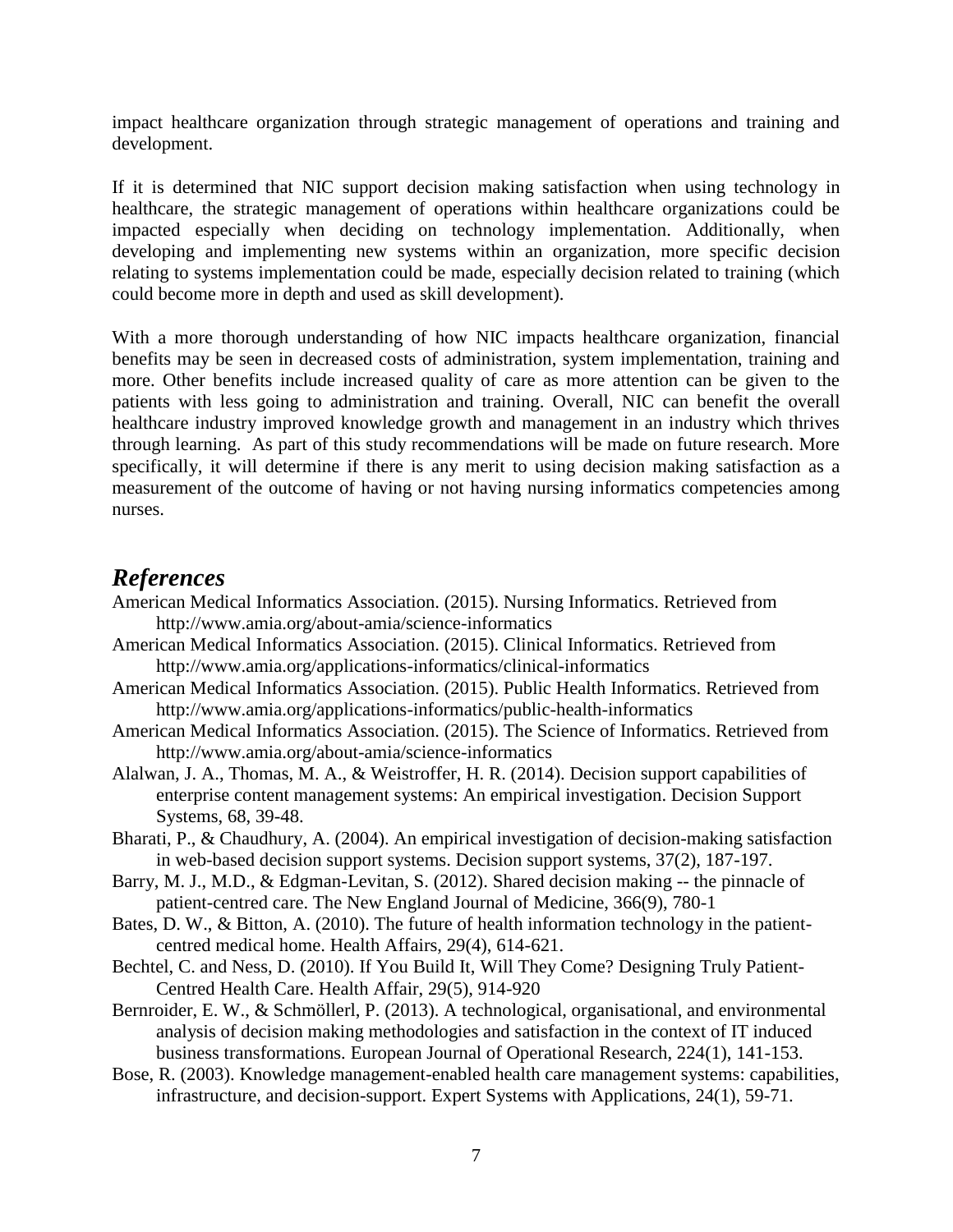impact healthcare organization through strategic management of operations and training and development.

If it is determined that NIC support decision making satisfaction when using technology in healthcare, the strategic management of operations within healthcare organizations could be impacted especially when deciding on technology implementation. Additionally, when developing and implementing new systems within an organization, more specific decision relating to systems implementation could be made, especially decision related to training (which could become more in depth and used as skill development).

With a more thorough understanding of how NIC impacts healthcare organization, financial benefits may be seen in decreased costs of administration, system implementation, training and more. Other benefits include increased quality of care as more attention can be given to the patients with less going to administration and training. Overall, NIC can benefit the overall healthcare industry improved knowledge growth and management in an industry which thrives through learning. As part of this study recommendations will be made on future research. More specifically, it will determine if there is any merit to using decision making satisfaction as a measurement of the outcome of having or not having nursing informatics competencies among nurses.

### *References*

- American Medical Informatics Association. (2015). Nursing Informatics. Retrieved from http://www.amia.org/about-amia/science-informatics
- American Medical Informatics Association. (2015). Clinical Informatics. Retrieved from http://www.amia.org/applications-informatics/clinical-informatics
- American Medical Informatics Association. (2015). Public Health Informatics. Retrieved from http://www.amia.org/applications-informatics/public-health-informatics
- American Medical Informatics Association. (2015). The Science of Informatics. Retrieved from http://www.amia.org/about-amia/science-informatics
- Alalwan, J. A., Thomas, M. A., & Weistroffer, H. R. (2014). Decision support capabilities of enterprise content management systems: An empirical investigation. Decision Support Systems, 68, 39-48.
- Bharati, P., & Chaudhury, A. (2004). An empirical investigation of decision-making satisfaction in web-based decision support systems. Decision support systems, 37(2), 187-197.
- Barry, M. J., M.D., & Edgman-Levitan, S. (2012). Shared decision making -- the pinnacle of patient-centred care. The New England Journal of Medicine, 366(9), 780-1
- Bates, D. W., & Bitton, A. (2010). The future of health information technology in the patientcentred medical home. Health Affairs, 29(4), 614-621.
- Bechtel, C. and Ness, D. (2010). If You Build It, Will They Come? Designing Truly Patient-Centred Health Care. Health Affair, 29(5), 914-920
- Bernroider, E. W., & Schmöllerl, P. (2013). A technological, organisational, and environmental analysis of decision making methodologies and satisfaction in the context of IT induced business transformations. European Journal of Operational Research, 224(1), 141-153.
- Bose, R. (2003). Knowledge management-enabled health care management systems: capabilities, infrastructure, and decision-support. Expert Systems with Applications, 24(1), 59-71.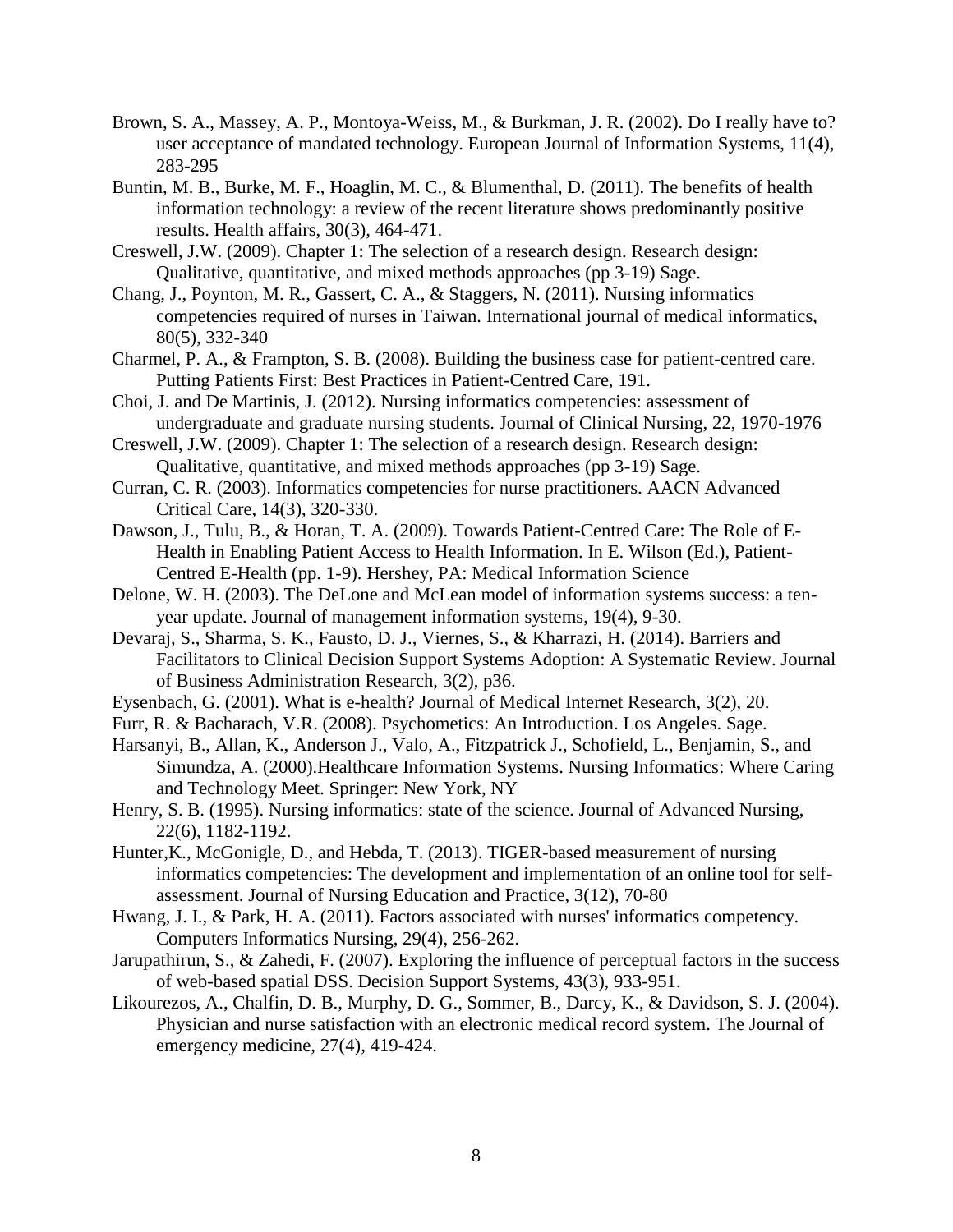- Brown, S. A., Massey, A. P., Montoya-Weiss, M., & Burkman, J. R. (2002). Do I really have to? user acceptance of mandated technology. European Journal of Information Systems, 11(4), 283-295
- Buntin, M. B., Burke, M. F., Hoaglin, M. C., & Blumenthal, D. (2011). The benefits of health information technology: a review of the recent literature shows predominantly positive results. Health affairs, 30(3), 464-471.
- Creswell, J.W. (2009). Chapter 1: The selection of a research design. Research design: Qualitative, quantitative, and mixed methods approaches (pp 3-19) Sage.
- Chang, J., Poynton, M. R., Gassert, C. A., & Staggers, N. (2011). Nursing informatics competencies required of nurses in Taiwan. International journal of medical informatics, 80(5), 332-340
- Charmel, P. A., & Frampton, S. B. (2008). Building the business case for patient-centred care. Putting Patients First: Best Practices in Patient-Centred Care, 191.
- Choi, J. and De Martinis, J. (2012). Nursing informatics competencies: assessment of undergraduate and graduate nursing students. Journal of Clinical Nursing, 22, 1970-1976
- Creswell, J.W. (2009). Chapter 1: The selection of a research design. Research design: Qualitative, quantitative, and mixed methods approaches (pp 3-19) Sage.
- Curran, C. R. (2003). Informatics competencies for nurse practitioners. AACN Advanced Critical Care, 14(3), 320-330.
- Dawson, J., Tulu, B., & Horan, T. A. (2009). Towards Patient-Centred Care: The Role of E-Health in Enabling Patient Access to Health Information. In E. Wilson (Ed.), Patient-Centred E-Health (pp. 1-9). Hershey, PA: Medical Information Science
- Delone, W. H. (2003). The DeLone and McLean model of information systems success: a tenyear update. Journal of management information systems, 19(4), 9-30.
- Devaraj, S., Sharma, S. K., Fausto, D. J., Viernes, S., & Kharrazi, H. (2014). Barriers and Facilitators to Clinical Decision Support Systems Adoption: A Systematic Review. Journal of Business Administration Research, 3(2), p36.
- Eysenbach, G. (2001). What is e-health? Journal of Medical Internet Research, 3(2), 20.
- Furr, R. & Bacharach, V.R. (2008). Psychometics: An Introduction. Los Angeles. Sage.
- Harsanyi, B., Allan, K., Anderson J., Valo, A., Fitzpatrick J., Schofield, L., Benjamin, S., and Simundza, A. (2000).Healthcare Information Systems. Nursing Informatics: Where Caring and Technology Meet. Springer: New York, NY
- Henry, S. B. (1995). Nursing informatics: state of the science. Journal of Advanced Nursing, 22(6), 1182-1192.
- Hunter,K., McGonigle, D., and Hebda, T. (2013). TIGER-based measurement of nursing informatics competencies: The development and implementation of an online tool for selfassessment. Journal of Nursing Education and Practice, 3(12), 70-80
- Hwang, J. I., & Park, H. A. (2011). Factors associated with nurses' informatics competency. Computers Informatics Nursing, 29(4), 256-262.
- Jarupathirun, S., & Zahedi, F. (2007). Exploring the influence of perceptual factors in the success of web-based spatial DSS. Decision Support Systems, 43(3), 933-951.
- Likourezos, A., Chalfin, D. B., Murphy, D. G., Sommer, B., Darcy, K., & Davidson, S. J. (2004). Physician and nurse satisfaction with an electronic medical record system. The Journal of emergency medicine, 27(4), 419-424.